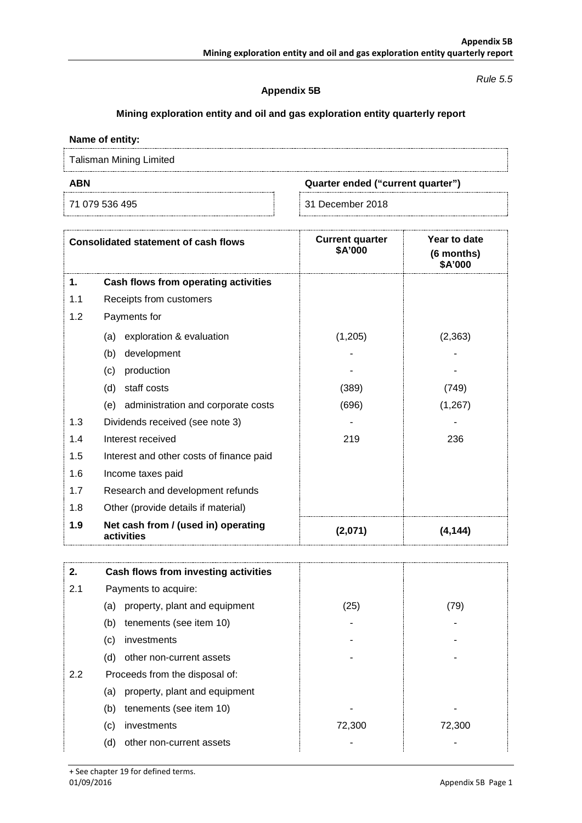#### *Rule 5.5*

### **Appendix 5B**

# **Mining exploration entity and oil and gas exploration entity quarterly report**

## **Name of entity:**

Talisman Mining Limited

**ABN Quarter ended ("current quarter")**

71 079 536 495 31 December 2018

| <b>Consolidated statement of cash flows</b> |                                                   | <b>Current quarter</b><br>\$A'000 | Year to date<br>(6 months)<br><b>\$A'000</b> |
|---------------------------------------------|---------------------------------------------------|-----------------------------------|----------------------------------------------|
| 1.                                          | Cash flows from operating activities              |                                   |                                              |
| 1.1                                         | Receipts from customers                           |                                   |                                              |
| 1.2                                         | Payments for                                      |                                   |                                              |
|                                             | exploration & evaluation<br>(a)                   | (1,205)                           | (2, 363)                                     |
|                                             | development<br>(b)                                |                                   |                                              |
|                                             | production<br>(c)                                 |                                   |                                              |
|                                             | (d)<br>staff costs                                | (389)                             | (749)                                        |
|                                             | (e) administration and corporate costs            | (696)                             | (1, 267)                                     |
| 1.3                                         | Dividends received (see note 3)                   |                                   |                                              |
| 1.4                                         | Interest received                                 | 219                               | 236                                          |
| 1.5                                         | Interest and other costs of finance paid          |                                   |                                              |
| 1.6                                         | Income taxes paid                                 |                                   |                                              |
| 1.7                                         | Research and development refunds                  |                                   |                                              |
| 1.8                                         | Other (provide details if material)               |                                   |                                              |
| 1.9                                         | Net cash from / (used in) operating<br>activities | (2,071)                           | (4.144)                                      |

| 2.  | Cash flows from investing activities |        |        |
|-----|--------------------------------------|--------|--------|
| 2.1 | Payments to acquire:                 |        |        |
|     | property, plant and equipment<br>(a) | (25)   | (79)   |
|     | tenements (see item 10)<br>(b)       |        |        |
|     | investments<br>(c)                   |        |        |
|     | other non-current assets<br>(d)      |        |        |
| 2.2 | Proceeds from the disposal of:       |        |        |
|     | property, plant and equipment<br>(a) |        |        |
|     | tenements (see item 10)<br>(b)       |        |        |
|     | investments<br>(c)                   | 72,300 | 72,300 |
|     | other non-current assets<br>(d)      |        |        |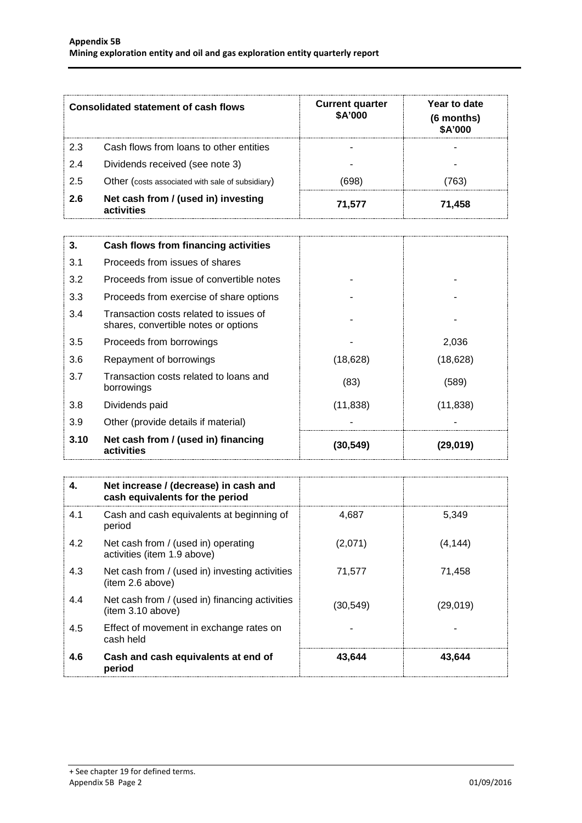| Consolidated statement of cash flows |                                                   | <b>Current quarter</b><br>\$A'000 | Year to date<br>(6 months)<br>\$A'000 |  |
|--------------------------------------|---------------------------------------------------|-----------------------------------|---------------------------------------|--|
| 2.3                                  | Cash flows from loans to other entities           |                                   |                                       |  |
| 2.4                                  | Dividends received (see note 3)                   |                                   |                                       |  |
| 2.5                                  | Other (costs associated with sale of subsidiary)  | (698)                             | 763)                                  |  |
| 2.6                                  | Net cash from / (used in) investing<br>activities | 71.577                            | 71.458                                |  |

| 3.   | Cash flows from financing activities                                           |           |           |
|------|--------------------------------------------------------------------------------|-----------|-----------|
| 3.1  | Proceeds from issues of shares                                                 |           |           |
| 3.2  | Proceeds from issue of convertible notes                                       |           |           |
| 3.3  | Proceeds from exercise of share options                                        |           |           |
| 3.4  | Transaction costs related to issues of<br>shares, convertible notes or options |           |           |
| 3.5  | Proceeds from borrowings                                                       |           | 2,036     |
| 3.6  | Repayment of borrowings                                                        | (18,628)  | (18, 628) |
| 3.7  | Transaction costs related to loans and<br>borrowings                           | (83)      | (589)     |
| 3.8  | Dividends paid                                                                 | (11, 838) | (11, 838) |
| 3.9  | Other (provide details if material)                                            |           |           |
| 3.10 | Net cash from / (used in) financing<br>activities                              | (30,549)  | (29, 019) |

| 4.  | Net increase / (decrease) in cash and<br>cash equivalents for the period |          |          |
|-----|--------------------------------------------------------------------------|----------|----------|
| 4.1 | Cash and cash equivalents at beginning of<br>period                      | 4.687    | 5.349    |
| 4.2 | Net cash from / (used in) operating<br>activities (item 1.9 above)       | (2,071)  | (4, 144) |
| 4.3 | Net cash from / (used in) investing activities<br>(item 2.6 above)       | 71,577   | 71,458   |
| 4.4 | Net cash from / (used in) financing activities<br>item 3.10 above)       | (30,549) | (29,019) |
| 4.5 | Effect of movement in exchange rates on<br>cash held                     |          |          |
| 4.6 | Cash and cash equivalents at end of<br>period                            | 43.644   | 43,644   |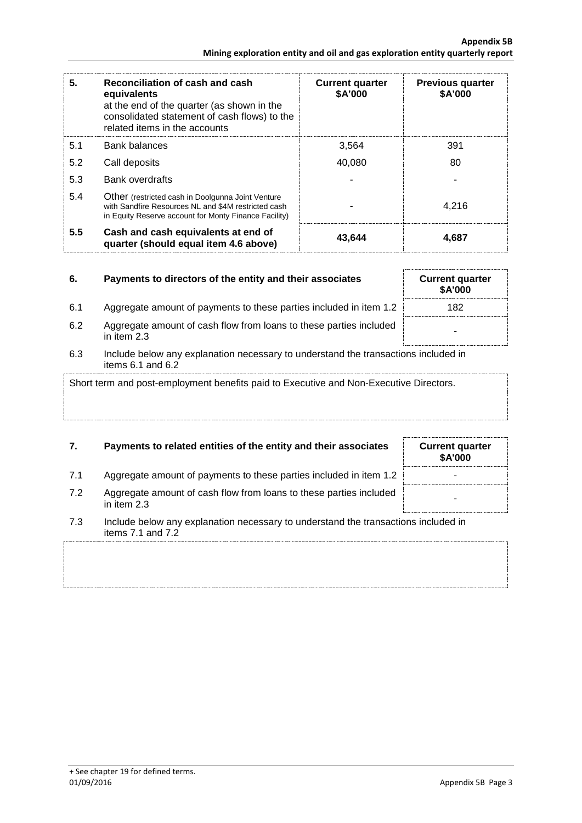| 5.  | Reconciliation of cash and cash<br>equivalents<br>at the end of the quarter (as shown in the<br>consolidated statement of cash flows) to the<br>related items in the accounts | <b>Current quarter</b><br>\$A'000 | <b>Previous quarter</b><br>\$A'000 |
|-----|-------------------------------------------------------------------------------------------------------------------------------------------------------------------------------|-----------------------------------|------------------------------------|
| 5.1 | Bank balances                                                                                                                                                                 | 3,564                             | 391                                |
| 5.2 | Call deposits                                                                                                                                                                 | 40.080                            | 80                                 |
| 5.3 | <b>Bank overdrafts</b>                                                                                                                                                        |                                   |                                    |
| 5.4 | Other (restricted cash in Doolgunna Joint Venture<br>with Sandfire Resources NL and \$4M restricted cash<br>in Equity Reserve account for Monty Finance Facility)             |                                   | 4.216                              |
| 5.5 | Cash and cash equivalents at end of<br>quarter (should equal item 4.6 above)                                                                                                  | 43,644                            | 4.687                              |

| 6. | Payments to directors of the entity and their associates | <b>Current quarter</b> |
|----|----------------------------------------------------------|------------------------|
|    |                                                          |                        |

- 6.1 Aggregate amount of payments to these parties included in item
- 6.2 Aggregate amount of cash flow from loans to these parties included in item 2.3
- 6.3 Include below any explanation necessary to understand the transactions included in items 6.1 and 6.2

Short term and post-employment benefits paid to Executive and Non-Executive Directors.

# **7. Payments to related entities of the entity and their associates Current quarter**

- 7.1 Aggregate amount of payments to these parties included in item 1.2
- 7.2 Aggregate amount of cash flow from loans to these parties included in them 2.3
- 7.3 Include below any explanation necessary to understand the transactions included in items 7.1 and 7.2
- 

|     | <b>Current quarter</b><br>\$A'000 |
|-----|-----------------------------------|
| 1.2 | 182                               |
| ded |                                   |
|     |                                   |

**\$A'000**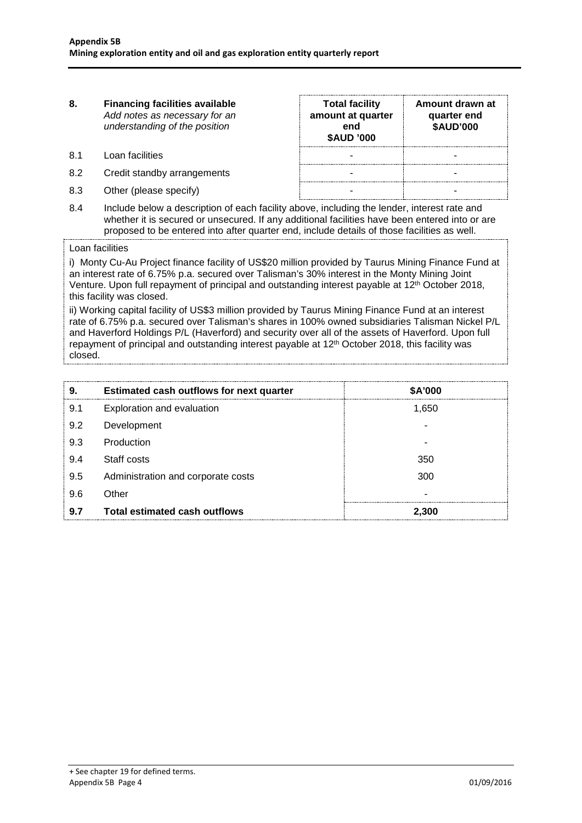| 8.  | <b>Financing facilities available</b><br>Add notes as necessary for an<br>understanding of the position | <b>Total facility</b><br>amount at quarter<br>end<br><b>\$AUD '000</b>                                          | Amount drawn at<br>quarter end<br><b>\$AUD'000</b> |
|-----|---------------------------------------------------------------------------------------------------------|-----------------------------------------------------------------------------------------------------------------|----------------------------------------------------|
| 81  | Loan facilities                                                                                         |                                                                                                                 |                                                    |
| 8.2 | Credit standby arrangements                                                                             |                                                                                                                 |                                                    |
| 8.3 | Other (please specify)                                                                                  |                                                                                                                 |                                                    |
|     |                                                                                                         | the contract of the contract of the contract of the contract of the contract of the contract of the contract of |                                                    |

8.4 Include below a description of each facility above, including the lender, interest rate and whether it is secured or unsecured. If any additional facilities have been entered into or are proposed to be entered into after quarter end, include details of those facilities as well.

#### Loan facilities

i) Monty Cu-Au Project finance facility of US\$20 million provided by Taurus Mining Finance Fund at an interest rate of 6.75% p.a. secured over Talisman's 30% interest in the Monty Mining Joint Venture. Upon full repayment of principal and outstanding interest payable at 12th October 2018, this facility was closed.

ii) Working capital facility of US\$3 million provided by Taurus Mining Finance Fund at an interest rate of 6.75% p.a. secured over Talisman's shares in 100% owned subsidiaries Talisman Nickel P/L and Haverford Holdings P/L (Haverford) and security over all of the assets of Haverford. Upon full repayment of principal and outstanding interest payable at 12th October 2018, this facility was closed.

| 9.  | <b>Estimated cash outflows for next quarter</b> | <b>\$A'000</b> |
|-----|-------------------------------------------------|----------------|
| 9.1 | Exploration and evaluation                      | 1,650          |
| 9.2 | Development                                     |                |
| 9.3 | Production                                      |                |
| 9.4 | Staff costs                                     | 350            |
| 9.5 | Administration and corporate costs              | 300            |
| 9.6 | Other                                           |                |
| 9.7 | Total estimated cash outflows                   | 2.300          |